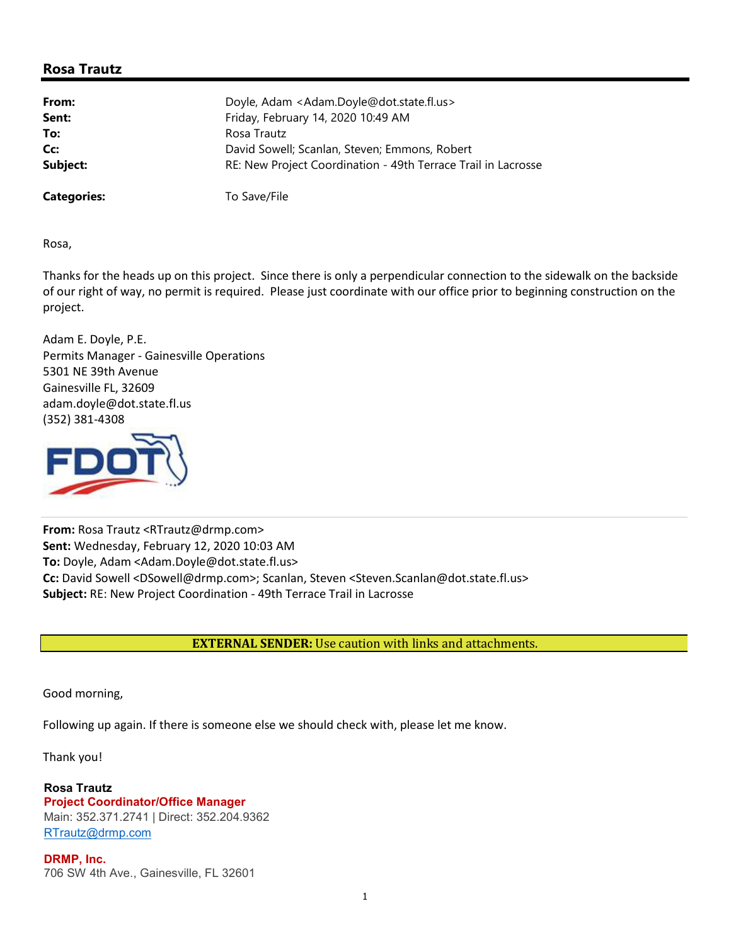## **Rosa Trautz**

| From:              | Doyle, Adam <adam.doyle@dot.state.fl.us></adam.doyle@dot.state.fl.us> |
|--------------------|-----------------------------------------------------------------------|
| Sent:              | Friday, February 14, 2020 10:49 AM                                    |
| To:                | Rosa Trautz                                                           |
| Cc:                | David Sowell; Scanlan, Steven; Emmons, Robert                         |
| Subject:           | RE: New Project Coordination - 49th Terrace Trail in Lacrosse         |
| <b>Categories:</b> | To Save/File                                                          |

Rosa,

Thanks for the heads up on this project. Since there is only a perpendicular connection to the sidewalk on the backside of our right of way, no permit is required. Please just coordinate with our office prior to beginning construction on the project.

Adam E. Doyle, P.E. Permits Manager - Gainesville Operations 5301 NE 39th Avenue Gainesville FL, 32609 adam.doyle@dot.state.fl.us (352) 381-4308



**From:** Rosa Trautz <RTrautz@drmp.com> **Sent:** Wednesday, February 12, 2020 10:03 AM **To:** Doyle, Adam <Adam.Doyle@dot.state.fl.us> **Cc:** David Sowell <DSowell@drmp.com>; Scanlan, Steven <Steven.Scanlan@dot.state.fl.us> **Subject:** RE: New Project Coordination - 49th Terrace Trail in Lacrosse

**EXTERNAL SENDER:** Use caution with links and attachments.

Good morning,

Following up again. If there is someone else we should check with, please let me know.

Thank you!

**Rosa Trautz Project Coordinator/Office Manager** Main: 352.371.2741 | Direct: 352.204.9362 RTrautz@drmp.com

**DRMP, Inc.** 706 SW 4th Ave., Gainesville, FL 32601